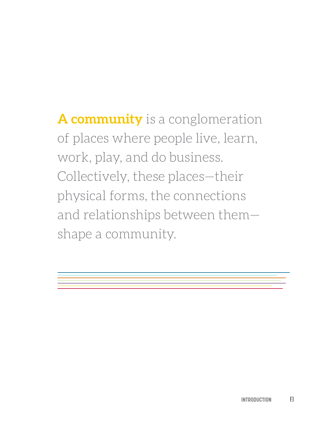**A community** is a conglomeration of places where people live, learn, work, play, and do business. Collectively, these places—their physical forms, the connections and relationships between them shape a community.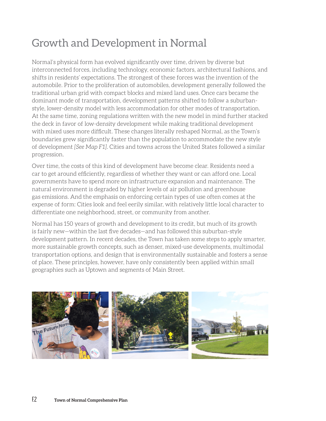# Growth and Development in Normal

Normal's physical form has evolved significantly over time, driven by diverse but interconnected forces, including technology, economic factors, architectural fashions, and shifts in residents' expectations. The strongest of these forces was the invention of the automobile. Prior to the proliferation of automobiles, development generally followed the traditional urban grid with compact blocks and mixed land uses. Once cars became the dominant mode of transportation, development patterns shifted to follow a suburbanstyle, lower-density model with less accommodation for other modes of transportation. At the same time, zoning regulations written with the new model in mind further stacked the deck in favor of low-density development while making traditional development with mixed uses more difficult. These changes literally reshaped Normal, as the Town's boundaries grew significantly faster than the population to accommodate the new style of development *[See Map F1]*. Cities and towns across the United States followed a similar progression.

Over time, the costs of this kind of development have become clear. Residents need a car to get around efficiently, regardless of whether they want or can afford one. Local governments have to spend more on infrastructure expansion and maintenance. The natural environment is degraded by higher levels of air pollution and greenhouse gas emissions. And the emphasis on enforcing certain types of use often comes at the expense of form: Cities look and feel eerily similar, with relatively little local character to differentiate one neighborhood, street, or community from another.

Normal has 150 years of growth and development to its credit, but much of its growth is fairly new—within the last five decades—and has followed this suburban-style development pattern. In recent decades, the Town has taken some steps to apply smarter, more sustainable growth concepts, such as denser, mixed-use developments, multimodal transportation options, and design that is environmentally sustainable and fosters a sense of place. These principles, however, have only consistently been applied within small geographies such as Uptown and segments of Main Street.

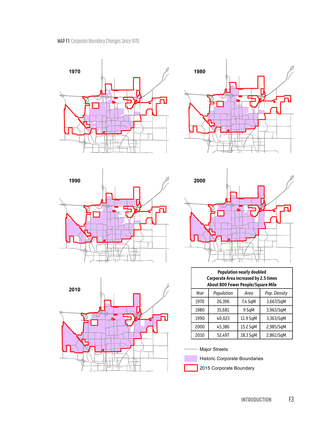









| <b>Population nearly doubled</b><br><b>Corporate Area increased by 2.5 times</b><br>About 800 Fewer People/Square Mile |            |          |              |  |
|------------------------------------------------------------------------------------------------------------------------|------------|----------|--------------|--|
| Year                                                                                                                   | Population | Area     | Pop. Density |  |
| 1970                                                                                                                   | 26,396     | 7.4 SqM  | 3,667/SqM    |  |
| 1980                                                                                                                   | 35,681     | 9 SqM    | 3,963/SqM    |  |
| 1990                                                                                                                   | 40,023     | 11.9 SqM | 3,363/SqM    |  |
| 2000                                                                                                                   | 45,386     | 15.2 SqM | 2,985/SqM    |  |
| 2010                                                                                                                   | 52,497     | 18.3 SqM | 2,861/SqM    |  |





Historic Corporate Boundaries

2015 Corporate Boundary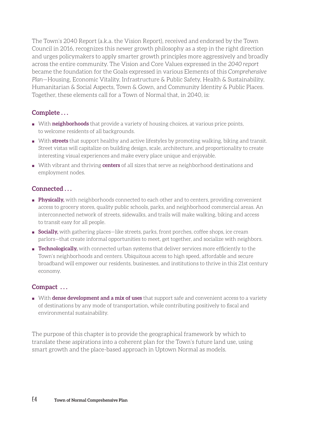The Town's 2040 Report (a.k.a. the Vision Report), received and endorsed by the Town Council in 2016, recognizes this newer growth philosophy as a step in the right direction and urges policymakers to apply smarter growth principles more aggressively and broadly across the entire community. The Vision and Core Values expressed in the *2040 report* became the foundation for the Goals expressed in various Elements of this *Comprehensive Plan*—Housing, Economic Vitality, Infrastructure & Public Safety, Health & Sustainability, Humanitarian & Social Aspects, Town & Gown, and Community Identity & Public Places. Together, these elements call for a Town of Normal that, in 2040, is:

#### **Complete . . .**

- With **neighborhoods** that provide a variety of housing choices, at various price points, to welcome residents of all backgrounds.
- With **streets** that support healthy and active lifestyles by promoting walking, biking and transit. Street vistas will capitalize on building design, scale, architecture, and proportionality to create interesting visual experiences and make every place unique and enjoyable.
- With vibrant and thriving **centers** of all sizes that serve as neighborhood destinations and employment nodes.

### **Connected . . .**

- **Physically,** with neighborhoods connected to each other and to centers, providing convenient access to grocery stores, quality public schools, parks, and neighborhood commercial areas. An interconnected network of streets, sidewalks, and trails will make walking, biking and access to transit easy for all people.
- **Bocially,** with gathering places—like streets, parks, front porches, coffee shops, ice cream parlors—that create informal opportunities to meet, get together, and socialize with neighbors.
- **Technologically,** with connected urban systems that deliver services more efficiently to the Town's neighborhoods and centers. Ubiquitous access to high speed, affordable and secure broadband will empower our residents, businesses, and institutions to thrive in this 21st century economy.

#### **Compact . . .**

■ With **dense development and a mix of uses** that support safe and convenient access to a variety of destinations by any mode of transportation, while contributing positively to fiscal and environmental sustainability.

The purpose of this chapter is to provide the geographical framework by which to translate these aspirations into a coherent plan for the Town's future land use, using smart growth and the place-based approach in Uptown Normal as models.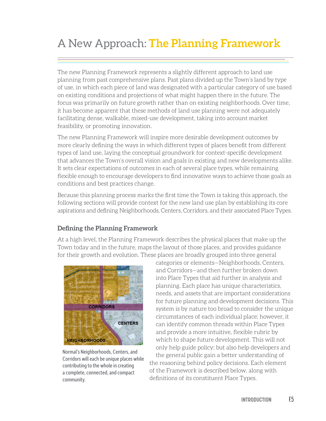# A New Approach: **The Planning Framework**

The new Planning Framework represents a slightly different approach to land use planning from past comprehensive plans. Past plans divided up the Town's land by type of use, in which each piece of land was designated with a particular category of use based on existing conditions and projections of what might happen there in the future. The focus was primarily on future growth rather than on existing neighborhoods. Over time, it has become apparent that these methods of land use planning were not adequately facilitating dense, walkable, mixed-use development, taking into account market feasibility, or promoting innovation.

The new Planning Framework will inspire more desirable development outcomes by more clearly defining the ways in which different types of places benefit from different types of land use, laying the conceptual groundwork for context-specific development that advances the Town's overall vision and goals in existing and new developments alike. It sets clear expectations of outcomes in each of several place types, while remaining flexible enough to encourage developers to find innovative ways to achieve those goals as conditions and best practices change.

Because this planning process marks the first time the Town is taking this approach, the following sections will provide context for the new land use plan by establishing its core aspirations and defining Neighborhoods, Centers, Corridors, and their associated Place Types.

### **Defining the Planning Framework**

At a high level, the Planning Framework describes the physical places that make up the Town today and in the future, maps the layout of those places, and provides guidance for their growth and evolution. These places are broadly grouped into three general



Normal's Neighborhoods, Centers, and Corridors will each be unique places while contributing to the whole in creating a complete, connected, and compact community.

categories or elements—Neighborhoods, Centers, and Corridors—and then further broken down into Place Types that aid further in analysis and planning. Each place has unique characteristics, needs, and assets that are important considerations for future planning and development decisions. This system is by nature too broad to consider the unique circumstances of each individual place; however, it can identify common threads within Place Types and provide a more intuitive, flexible rubric by which to shape future development. This will not only help guide policy; but also help developers and

the general public gain a better understanding of the reasoning behind policy decisions. Each element of the Framework is described below, along with definitions of its constituent Place Types.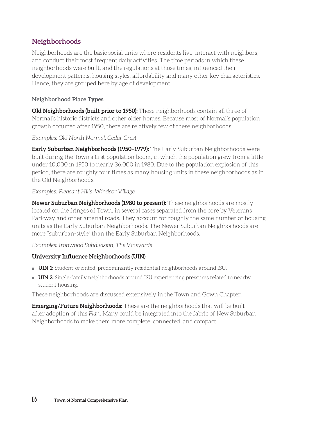## **Neighborhoods**

Neighborhoods are the basic social units where residents live, interact with neighbors, and conduct their most frequent daily activities. The time periods in which these neighborhoods were built, and the regulations at those times, influenced their development patterns, housing styles, affordability and many other key characteristics. Hence, they are grouped here by age of development.

#### **Neighborhood Place Types**

**Old Neighborhoods (built prior to 1950):** These neighborhoods contain all three of Normal's historic districts and other older homes. Because most of Normal's population growth occurred after 1950, there are relatively few of these neighborhoods.

#### *Examples: Old North Normal, Cedar Crest*

**Early Suburban Neighborhoods (1950–1979):** The Early Suburban Neighborhoods were built during the Town's first population boom, in which the population grew from a little under 10,000 in 1950 to nearly 36,000 in 1980. Due to the population explosion of this period, there are roughly four times as many housing units in these neighborhoods as in the Old Neighborhoods.

#### *Examples: Pleasant Hills, Windsor Village*

**Newer Suburban Neighborhoods (1980 to present):** These neighborhoods are mostly located on the fringes of Town, in several cases separated from the core by Veterans Parkway and other arterial roads. They account for roughly the same number of housing units as the Early Suburban Neighborhoods. The Newer Suburban Neighborhoods are more "suburban-style" than the Early Suburban Neighborhoods.

*Examples: Ironwood Subdivision, The Vineyards*

#### **University Influence Neighborhoods (UIN)**

- **UIN 1:** Student-oriented, predominantly residential neighborhoods around ISU.
- **UIN 2:** Single-family neighborhoods around ISU experiencing pressures related to nearby student housing.

These neighborhoods are discussed extensively in the Town and Gown Chapter.

**Emerging/Future Neighborhoods:** These are the neighborhoods that will be built after adoption of this *Plan*. Many could be integrated into the fabric of New Suburban Neighborhoods to make them more complete, connected, and compact.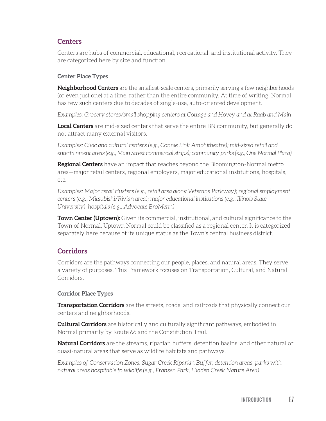### **Centers**

Centers are hubs of commercial, educational, recreational, and institutional activity. They are categorized here by size and function.

#### **Center Place Types**

**Neighborhood Centers** are the smallest-scale centers, primarily serving a few neighborhoods (or even just one) at a time, rather than the entire community. At time of writing, Normal has few such centers due to decades of single-use, auto-oriented development.

*Examples: Grocery stores/small shopping centers at Cottage and Hovey and at Raab and Main*

**Local Centers** are mid-sized centers that serve the entire BN community, but generally do not attract many external visitors.

*Examples: Civic and cultural centers (e.g., Connie Link Amphitheatre); mid-sized retail and entertainment areas (e.g., Main Street commercial strips); community parks (e.g., One Normal Plaza)* 

**Regional Centers** have an impact that reaches beyond the Bloomington-Normal metro area—major retail centers, regional employers, major educational institutions, hospitals, etc.

*Examples: Major retail clusters (e.g., retail area along Veterans Parkway); regional employment centers (e.g., Mitsubishi/Rivian area); major educational institutions (e.g., Illinois State University); hospitals (e.g., Advocate BroMenn)*

**Town Center (Uptown):** Given its commercial, institutional, and cultural significance to the Town of Normal, Uptown Normal could be classified as a regional center. It is categorized separately here because of its unique status as the Town's central business district.

## **Corridors**

Corridors are the pathways connecting our people, places, and natural areas. They serve a variety of purposes. This Framework focuses on Transportation, Cultural, and Natural Corridors.

#### **Corridor Place Types**

**Transportation Corridors** are the streets, roads, and railroads that physically connect our centers and neighborhoods.

**Cultural Corridors** are historically and culturally significant pathways, embodied in Normal primarily by Route 66 and the Constitution Trail.

**Natural Corridors** are the streams, riparian buffers, detention basins, and other natural or quasi-natural areas that serve as wildlife habitats and pathways.

*Examples of Conservation Zones: Sugar Creek Riparian Buffer, detention areas, parks with natural areas hospitable to wildlife (e.g., Fransen Park, Hidden Creek Nature Area)*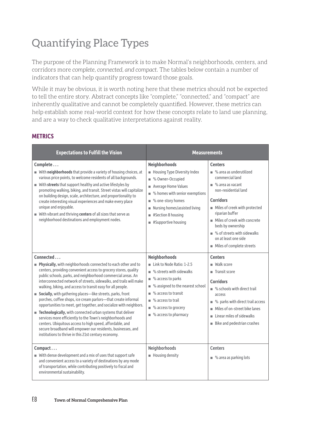# Quantifying Place Types

The purpose of the Planning Framework is to make Normal's neighborhoods, centers, and corridors more *complete, connected, and compact.* The tables below contain a number of indicators that can help quantify progress toward those goals.

While it may be obvious, it is worth noting here that these metrics should not be expected to tell the entire story. Abstract concepts like "complete," "connected," and "compact" are inherently qualitative and cannot be completely quantified. However, these metrics can help establish some real-world context for how these concepts relate to land use planning, and are a way to check qualitative interpretations against reality.

#### **METRICS**

| <b>Expectations to Fulfill the Vision</b>                                                                                                                                                                                                                                                                                                                                                                                                                                                                                                                                                                                                                                                                                                                                                                                                                                                | <b>Measurements</b>                                                                                                                                                                                                                                                        |                                                                                                                                                                                                                                                                                                                                              |
|------------------------------------------------------------------------------------------------------------------------------------------------------------------------------------------------------------------------------------------------------------------------------------------------------------------------------------------------------------------------------------------------------------------------------------------------------------------------------------------------------------------------------------------------------------------------------------------------------------------------------------------------------------------------------------------------------------------------------------------------------------------------------------------------------------------------------------------------------------------------------------------|----------------------------------------------------------------------------------------------------------------------------------------------------------------------------------------------------------------------------------------------------------------------------|----------------------------------------------------------------------------------------------------------------------------------------------------------------------------------------------------------------------------------------------------------------------------------------------------------------------------------------------|
| Complete<br>With neighborhoods that provide a variety of housing choices, at<br>various price points, to welcome residents of all backgrounds.<br>With streets that support healthy and active lifestyles by<br>promoting walking, biking, and transit. Street vistas will capitalize<br>on building design, scale, architecture, and proportionality to<br>create interesting visual experiences and make every place<br>unique and enjoyable.<br>With vibrant and thriving centers of all sizes that serve as<br>neighborhood destinations and employment nodes.                                                                                                                                                                                                                                                                                                                       | <b>Neighborhoods</b><br>Housing Type Diversity Index<br>% Owner-Occupied<br>n.<br>Average Home Values<br>m.<br>% homes with senior exemptions<br>Ī.<br>% one-story homes<br>П<br>Nursing homes/assisted living<br>ш<br>#Section 8 housing<br>п<br>#Supportive housing<br>ш | <b>Centers</b><br>■ % area as underutilized<br>commercial land<br>$\blacksquare$ % area as vacant<br>non-residential land<br><b>Corridors</b><br>Miles of creek with protected<br>riparian buffer<br>Miles of creek with concrete<br>beds by ownership<br>■ % of streets with sidewalks<br>on at least one side<br>Miles of complete streets |
| Connected<br>Physically, with neighborhoods connected to each other and to<br>centers, providing convenient access to grocery stores, quality<br>public schools, parks, and neighborhood commercial areas. An<br>interconnected network of streets, sidewalks, and trails will make<br>walking, biking, and access to transit easy for all people.<br>Socially, with gathering places-like streets, parks, front<br>porches, coffee shops, ice cream parlors-that create informal<br>opportunities to meet, get together, and socialize with neighbors.<br><b>Example 3</b> Technologically, with connected urban systems that deliver<br>services more efficiently to the Town's neighborhoods and<br>centers. Ubiquitous access to high speed, affordable, and<br>secure broadband will empower our residents, businesses, and<br>institutions to thrive in this 21st century economy. | <b>Neighborhoods</b><br>Link to Node Ratio: 1-2.5<br>% streets with sidewalks<br>m.<br>% access to parks<br>n.<br>% assigned to the nearest school<br>ш<br>% access to transit<br>ш<br>% access to trail<br>m.<br>% access to grocery<br>■ % access to pharmacy            | <b>Centers</b><br>Walk score<br>$\blacksquare$ Transit score<br><b>Corridors</b><br>$\blacksquare$ % schools with direct trail<br>access<br>% parks with direct trail access<br>٠<br>Miles of on-street bike lanes<br>٠<br>Linear miles of sidewalks<br>٠<br>Bike and pedestrian crashes                                                     |
| Compact<br>With dense development and a mix of uses that support safe<br>and convenient access to a variety of destinations by any mode<br>of transportation, while contributing positively to fiscal and<br>environmental sustainability.                                                                                                                                                                                                                                                                                                                                                                                                                                                                                                                                                                                                                                               | Neighborhoods<br>Housing density                                                                                                                                                                                                                                           | <b>Centers</b><br>$\blacksquare$ % area as parking lots                                                                                                                                                                                                                                                                                      |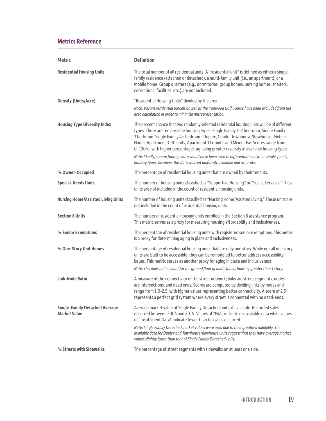#### **Metrics Reference**

| <b>Metric</b>                                                | <b>Definition</b>                                                                                                                                                                                                                                                                                                                                                                                                                                                                                                                                                                                                                        |
|--------------------------------------------------------------|------------------------------------------------------------------------------------------------------------------------------------------------------------------------------------------------------------------------------------------------------------------------------------------------------------------------------------------------------------------------------------------------------------------------------------------------------------------------------------------------------------------------------------------------------------------------------------------------------------------------------------------|
| <b>Residential Housing Units</b>                             | The total number of all residential units. A "residential unit" is defined as either a single-<br>family residence (attached or detached), a multi-family unit (i.e., an apartment), or a<br>mobile home. Group quarters (e.g., dormitories, group homes, nursing homes, shelters,<br>correctional facilities, etc.) are not included.                                                                                                                                                                                                                                                                                                   |
| <b>Density (Units/Acre)</b>                                  | "Residential Housing Units" divided by the area.                                                                                                                                                                                                                                                                                                                                                                                                                                                                                                                                                                                         |
|                                                              | Note: Vacant residential parcels as well as the Ironwood Golf Course have been excluded from the<br>area calculation in order to minimize misrepresentation.                                                                                                                                                                                                                                                                                                                                                                                                                                                                             |
| <b>Housing Type Diversity Index</b>                          | The percent chance that two randomly selected residential housing units will be of different<br>types. There are ten possible housing types: Single Family 1-2 bedroom, Single Family<br>3 bedroom, Single Family 4+ bedroom, Duplex, Condo, Townhouse/Rowhouse, Mobile<br>Home, Apartment 3-10 units, Apartment 11+ units, and Mixed Use. Scores range from<br>0-100%, with higher percentages signaling greater diversity in available housing types.<br>Note: Ideally, square footage data would have been used to differentiate between single-family<br>housing types; however, this data was not uniformly available and accurate. |
| % Owner-Occupied                                             | The percentage of residential housing units that are owned by their tenants.                                                                                                                                                                                                                                                                                                                                                                                                                                                                                                                                                             |
| <b>Special-Needs Units</b>                                   | The number of housing units classified as "Supportive Housing" or "Social Services." These<br>units are not included in the count of residential housing units.                                                                                                                                                                                                                                                                                                                                                                                                                                                                          |
| <b>Nursing Home/Assisted Living Units</b>                    | The number of housing units classified as "Nursing Home/Assisted Living." These units are<br>not included in the count of residential housing units.                                                                                                                                                                                                                                                                                                                                                                                                                                                                                     |
| <b>Section 8 Units</b>                                       | The number of residential housing units enrolled in the Section 8 assistance program.<br>This metric serves as a proxy for measuring housing affordability and inclusiveness.                                                                                                                                                                                                                                                                                                                                                                                                                                                            |
| % Senior Exemptions                                          | The percentage of residential housing units with registered senior exemptions. This metric<br>is a proxy for determining aging in place and inclusiveness.                                                                                                                                                                                                                                                                                                                                                                                                                                                                               |
| % One-Story Unit Homes                                       | The percentage of residential housing units that are only one story. While not all one story<br>units are built to be accessible, they can be remodeled to better address accessibility<br>issues. This metric serves as another proxy for aging in place and inclusiveness.<br>Note: This does not account for the ground floor of multi-family housing greater than 1 story.                                                                                                                                                                                                                                                           |
| <b>Link-Node Ratio</b>                                       | A measure of the connectivity of the street network; links are street segments, nodes<br>are intersections, and dead ends. Scores are computed by dividing links by nodes and<br>range from 1.0-2.5, with higher values representing better connectivity. A score of 2.5<br>represents a perfect grid system where every street is connected with no dead-ends.                                                                                                                                                                                                                                                                          |
| <b>Single-Family Detached Average</b><br><b>Market Value</b> | Average market value of Single Family Detached units, if available. Recorded sales<br>occurred between 2004 and 2014. Values of "N/A" indicate no available data while values<br>of "Insufficient Data" indicate fewer than ten sales occurred.                                                                                                                                                                                                                                                                                                                                                                                          |
|                                                              | Note: Single Family Detached market values were used due to their greater availability. The<br>available data for Duplex and Townhouse/Rowhouse units suggest that they have average market<br>values slightly lower than that of Single Family Detached units.                                                                                                                                                                                                                                                                                                                                                                          |
| % Streets with Sidewalks                                     | The percentage of street segments with sidewalks on at least one side.                                                                                                                                                                                                                                                                                                                                                                                                                                                                                                                                                                   |